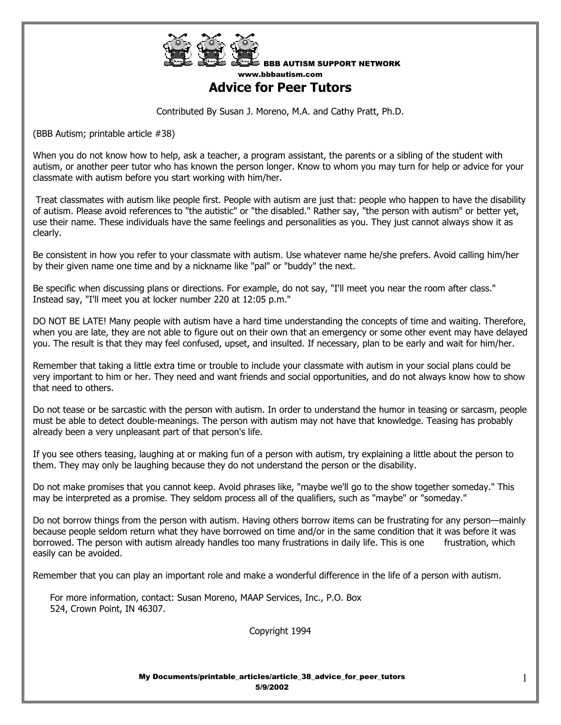

BBB AUTISM SUPPORT NETWORK www.bbbautism.com

## **Advice for Peer Tutors**

Contributed By Susan J. Moreno, M.A. and Cathy Pratt, Ph.D.

(BBB Autism; printable article #38)

When you do not know how to help, ask a teacher, a program assistant, the parents or a sibling of the student with autism, or another peer tutor who has known the person longer. Know to whom you may turn for help or advice for your classmate with autism before you start working with him/her.

 Treat classmates with autism like people first. People with autism are just that: people who happen to have the disability of autism. Please avoid references to "the autistic" or "the disabled." Rather say, "the person with autism" or better yet, use their name. These individuals have the same feelings and personalities as you. They just cannot always show it as clearly.

Be consistent in how you refer to your classmate with autism. Use whatever name he/she prefers. Avoid calling him/her by their given name one time and by a nickname like "pal" or "buddy" the next.

Be specific when discussing plans or directions. For example, do not say, "I'll meet you near the room after class." Instead say, "I'll meet you at locker number 220 at 12:05 p.m."

DO NOT BE LATE! Many people with autism have a hard time understanding the concepts of time and waiting. Therefore, when you are late, they are not able to figure out on their own that an emergency or some other event may have delayed you. The result is that they may feel confused, upset, and insulted. If necessary, plan to be early and wait for him/her.

Remember that taking a little extra time or trouble to include your classmate with autism in your social plans could be very important to him or her. They need and want friends and social opportunities, and do not always know how to show that need to others.

Do not tease or be sarcastic with the person with autism. In order to understand the humor in teasing or sarcasm, people must be able to detect double-meanings. The person with autism may not have that knowledge. Teasing has probably already been a very unpleasant part of that person's life.

If you see others teasing, laughing at or making fun of a person with autism, try explaining a little about the person to them. They may only be laughing because they do not understand the person or the disability.

Do not make promises that you cannot keep. Avoid phrases like, "maybe we'll go to the show together someday." This may be interpreted as a promise. They seldom process all of the qualifiers, such as "maybe" or "someday."

Do not borrow things from the person with autism. Having others borrow items can be frustrating for any person—mainly because people seldom return what they have borrowed on time and/or in the same condition that it was before it was borrowed. The person with autism already handles too many frustrations in daily life. This is one frustration, which easily can be avoided.

Remember that you can play an important role and make a wonderful difference in the life of a person with autism.

 For more information, contact: Susan Moreno, MAAP Services, Inc., P.O. Box 524, Crown Point, IN 46307.

Copyright 1994

My Documents/printable\_articles/article\_38\_advice\_for\_peer\_tutors 5/9/2002